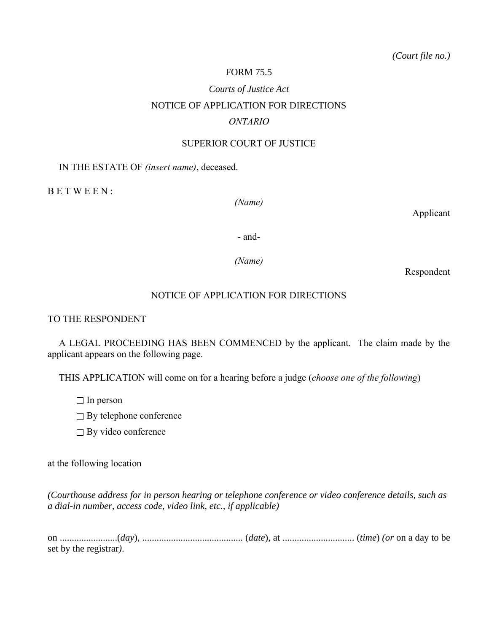### FORM 75.5

# *Courts of Justice Act* NOTICE OF APPLICATION FOR DIRECTIONS *ONTARIO*

#### SUPERIOR COURT OF JUSTICE

#### IN THE ESTATE OF *(insert name)*, deceased.

B E T W E E N :

*(Name)*

Applicant

- and-

*(Name)*

Respondent

## NOTICE OF APPLICATION FOR DIRECTIONS

#### TO THE RESPONDENT

A LEGAL PROCEEDING HAS BEEN COMMENCED by the applicant. The claim made by the applicant appears on the following page.

THIS APPLICATION will come on for a hearing before a judge (*choose one of the following*)

 $\Box$  In person

 $\Box$  By telephone conference

 $\Box$  By video conference

at the following location

*(Courthouse address for in person hearing or telephone conference or video conference details, such as a dial-in number, access code, video link, etc., if applicable)*

on ........................(*day*), .......................................... (*date*), at .............................. (*time*) *(or* on a day to be set by the registrar*)*.